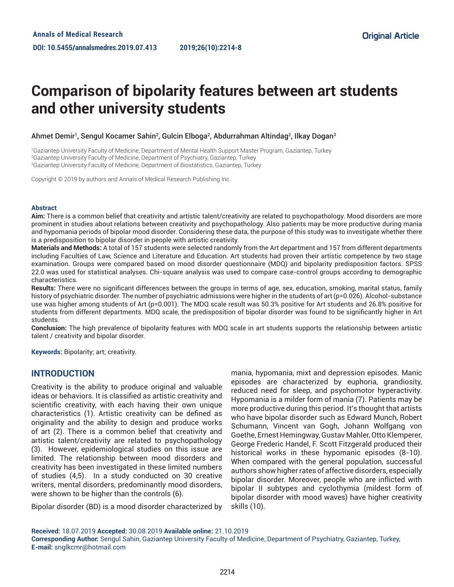# **Comparison of bipolarity features between art students and other university students**

## Ahmet Demir<sup>1</sup>, Sengul Kocamer Sahin<sup>2</sup>, Gulcin Elboga<sup>2</sup>, Abdurrahman Altindag<sup>2</sup>, Ilkay Dogan<sup>3</sup>

1 Gaziantep University Faculty of Medicine, Department of Mental Health Support Master Program, Gaziantep, Turkey 2 Gaziantep University Faculty of Medicine, Department of Psychiatry, Gaziantep, Turkey 3 Gaziantep University Faculty of Medicine, Department of Biostatistics, Gaziantep, Turkey

Copyright © 2019 by authors and Annals of Medical Research Publishing Inc.

#### **Abstract**

**Aim:** There is a common belief that creativity and artistic talent/creativity are related to psychopathology. Mood disorders are more prominent in studies about relations between creativity and psychopathology. Also patients may be more productive during mania and hypomania periods of bipolar mood disorder. Considering these data, the purpose of this study was to investigate whether there is a predisposition to bipolar disorder in people with artistic creativity.

**Materials and Methods:** A total of 157 students were selected randomly from the Art department and 157 from different departments including Faculties of Law, Science and Literature and Education. Art students had proven their artistic competence by two stage examination. Groups were compared based on mood disorder questionnaire (MDQ) and bipolarity predisposition factors. SPSS 22.0 was used for statistical analyses. Chi-square analysis was used to compare case-control groups according to demographic characteristics.

**Results:** There were no significant differences between the groups in terms of age, sex, education, smoking, marital status, family history of psychiatric disorder. The number of psychiatric admissions were higher in the students of art (p=0.026). Alcohol-substance use was higher among students of Art (p=0.001). The MDQ scale result was 50.3% positive for Art students and 26.8% positive for students from different departments. MDQ scale, the predisposition of bipolar disorder was found to be significantly higher in Art students.

**Conclusion:** The high prevalence of bipolarity features with MDQ scale in art students supports the relationship between artistic talent / creativity and bipolar disorder.

**Keywords:** Bipolarity; art; creativity.

## **INTRODUCTION**

Creativity is the ability to produce original and valuable ideas or behaviors. It is classified as artistic creativity and scientific creativity, with each having their own unique characteristics (1). Artistic creativity can be defined as originality and the ability to design and produce works of art (2). There is a common belief that creativity and artistic talent/creativity are related to psychopathology (3). However, epidemiological studies on this issue are limited. The relationship between mood disorders and creativity has been investigated in these limited numbers of studies (4,5). In a study conducted on 30 creative writers, mental disorders, predominantly mood disorders, were shown to be higher than the controls (6).

Bipolar disorder (BD) is a mood disorder characterized by

mania, hypomania, mixt and depression episodes. Manic episodes are characterized by euphoria, grandiosity, reduced need for sleep, and psychomotor hyperactivity. Hypomania is a milder form of mania (7). Patients may be more productive during this period. It's thought that artists who have bipolar disorder such as Edward Munch, Robert Schumann, Vincent van Gogh, Johann Wolfgang von Goethe, Ernest Hemingway, Gustav Mahler, Otto Klemperer, George Frederic Handel, F. Scott Fitzgerald produced their historical works in these hypomanic episodes (8-10). When compared with the general population, successful authors show higher rates of affective disorders, especially bipolar disorder. Moreover, people who are inflicted with bipolar II subtypes and cyclothymia (mildest form of bipolar disorder with mood waves) have higher creativity skills (10).

**Received:** 18.07.2019 **Accepted:** 30.08.2019 **Available online:** 21.10.2019

**Corresponding Author:** Sengul Sahin, Gaziantep University Faculty of Medicine, Department of Psychiatry, Gaziantep, Turkey, **E-mail:** snglkcmr@hotmail.com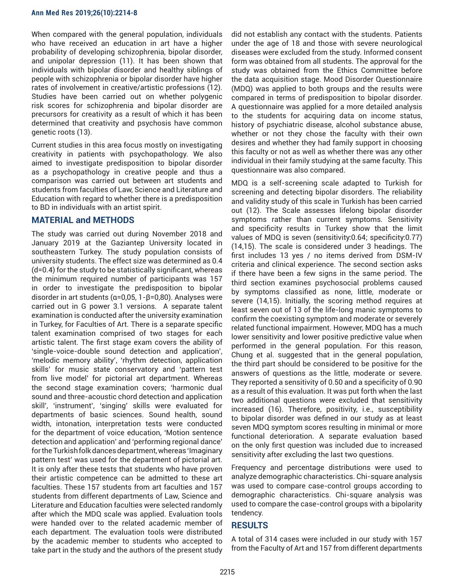When compared with the general population, individuals who have received an education in art have a higher probability of developing schizophrenia, bipolar disorder, and unipolar depression (11). It has been shown that individuals with bipolar disorder and healthy siblings of people with schizophrenia or bipolar disorder have higher rates of involvement in creative/artistic professions (12). Studies have been carried out on whether polygenic risk scores for schizophrenia and bipolar disorder are precursors for creativity as a result of which it has been determined that creativity and psychosis have common genetic roots (13).

Current studies in this area focus mostly on investigating creativity in patients with psychopathology. We also aimed to investigate predisposition to bipolar disorder as a psychopathology in creative people and thus a comparison was carried out between art students and students from faculties of Law, Science and Literature and Education with regard to whether there is a predisposition to BD in individuals with an artist spirit.

# **MATERIAL and METHODS**

The study was carried out during November 2018 and January 2019 at the Gaziantep University located in southeastern Turkey. The study population consists of university students. The effect size was determined as 0.4 (d=0.4) for the study to be statistically significant, whereas the minimum required number of participants was 157 in order to investigate the predisposition to bipolar disorder in art students (α=0,05, 1-β=0,80). Analyses were carried out in G power 3.1 versions. A separate talent examination is conducted after the university examination in Turkey, for Faculties of Art. There is a separate specific talent examination comprised of two stages for each artistic talent. The first stage exam covers the ability of 'single-voice-double sound detection and application', 'melodic memory ability', 'rhythm detection, application skills' for music state conservatory and 'pattern test from live model' for pictorial art department. Whereas the second stage examination covers; 'harmonic dual sound and three-acoustic chord detection and application skill', 'instrument', 'singing' skills were evaluated for departments of basic sciences. Sound health, sound width, intonation, interpretation tests were conducted for the department of voice education, 'Motion sentence detection and application' and 'performing regional dance' for the Turkish folk dances department, whereas 'Imaginary pattern test' was used for the department of pictorial art. It is only after these tests that students who have proven their artistic competence can be admitted to these art faculties. These 157 students from art faculties and 157 students from different departments of Law, Science and Literature and Education faculties were selected randomly after which the MDQ scale was applied. Evaluation tools were handed over to the related academic member of each department. The evaluation tools were distributed by the academic member to students who accepted to take part in the study and the authors of the present study

did not establish any contact with the students. Patients under the age of 18 and those with severe neurological diseases were excluded from the study. Informed consent form was obtained from all students. The approval for the study was obtained from the Ethics Committee before the data acquisition stage. Mood Disorder Questionnaire (MDQ) was applied to both groups and the results were compared in terms of predisposition to bipolar disorder. A questionnaire was applied for a more detailed analysis to the students for acquiring data on income status, history of psychiatric disease, alcohol substance abuse, whether or not they chose the faculty with their own desires and whether they had family support in choosing this faculty or not as well as whether there was any other individual in their family studying at the same faculty. This questionnaire was also compared.

MDQ is a self-screening scale adapted to Turkish for screening and detecting bipolar disorders. The reliability and validity study of this scale in Turkish has been carried out (12). The Scale assesses lifelong bipolar disorder symptoms rather than current symptoms. Sensitivity and specificity results in Turkey show that the limit values of MDQ is seven (sensitivity:0.64; specificity:0.77) (14,15). The scale is considered under 3 headings. The first includes 13 yes / no items derived from DSM-IV criteria and clinical experience. The second section asks if there have been a few signs in the same period. The third section examines psychosocial problems caused by symptoms classified as none, little, moderate or severe (14,15). Initially, the scoring method requires at least seven out of 13 of the life-long manic symptoms to confirm the coexisting symptom and moderate or severely related functional impairment. However, MDQ has a much lower sensitivity and lower positive predictive value when performed in the general population. For this reason, Chung et al. suggested that in the general population, the third part should be considered to be positive for the answers of questions as the little, moderate or severe. They reported a sensitivity of 0.50 and a specificity of 0.90 as a result of this evaluation. It was put forth when the last two additional questions were excluded that sensitivity increased (16). Therefore, positivity, i.e., susceptibility to bipolar disorder was defined in our study as at least seven MDQ symptom scores resulting in minimal or more functional deterioration. A separate evaluation based on the only first question was included due to increased sensitivity after excluding the last two questions.

Frequency and percentage distributions were used to analyze demographic characteristics. Chi-square analysis was used to compare case-control groups according to demographic characteristics. Chi-square analysis was used to compare the case-control groups with a bipolarity tendency.

## **RESULTS**

A total of 314 cases were included in our study with 157 from the Faculty of Art and 157 from different departments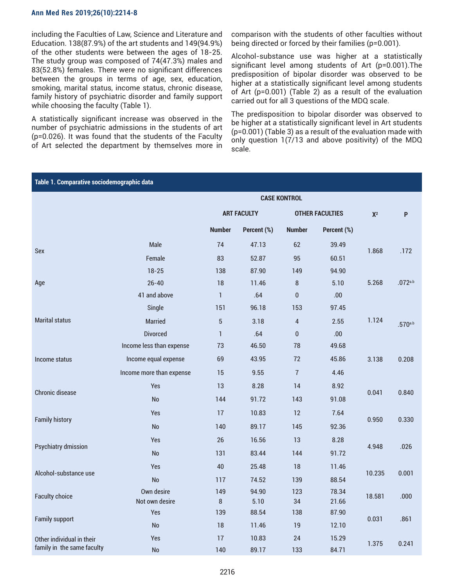#### **Ann Med Res 2019;26(10):2214-8**

including the Faculties of Law, Science and Literature and Education. 138(87.9%) of the art students and 149(94.9%) of the other students were between the ages of 18-25. The study group was composed of 74(47.3%) males and 83(52.8%) females. There were no significant differences between the groups in terms of age, sex, education, smoking, marital status, income status, chronic disease, family history of psychiatric disorder and family support while choosing the faculty (Table 1).

A statistically significant increase was observed in the number of psychiatric admissions in the students of art (p=0.026). It was found that the students of the Faculty of Art selected the department by themselves more in comparison with the students of other faculties without being directed or forced by their families (p=0.001).

Alcohol-substance use was higher at a statistically significant level among students of Art (p=0.001).The predisposition of bipolar disorder was observed to be higher at a statistically significant level among students of Art (p=0.001) (Table 2) as a result of the evaluation carried out for all 3 questions of the MDQ scale.

The predisposition to bipolar disorder was observed to be higher at a statistically significant level in Art students (p=0.001) (Table 3) as a result of the evaluation made with only question 1(7/13 and above positivity) of the MDQ scale.

| Table 1. Comparative sociodemographic data |                          |                    |             |                        |             |        |         |  |  |
|--------------------------------------------|--------------------------|--------------------|-------------|------------------------|-------------|--------|---------|--|--|
|                                            | <b>CASE KONTROL</b>      |                    |             |                        |             |        |         |  |  |
|                                            |                          | <b>ART FACULTY</b> |             | <b>OTHER FACULTIES</b> |             | $X^2$  | P       |  |  |
|                                            |                          | <b>Number</b>      | Percent (%) | <b>Number</b>          | Percent (%) |        |         |  |  |
| <b>Sex</b>                                 | Male                     | 74                 | 47.13       | 62                     | 39.49       | 1.868  | .172    |  |  |
|                                            | Female                   | 83                 | 52.87       | 95                     | 60.51       |        |         |  |  |
|                                            | $18 - 25$                | 138                | 87.90       | 149                    | 94.90       |        |         |  |  |
| Age                                        | $26 - 40$                | 18                 | 11.46       | 8                      | 5.10        | 5.268  | .072a.b |  |  |
|                                            | 41 and above             | $\mathbf{1}$       | .64         | $\mathbf{0}$           | .00         |        |         |  |  |
|                                            | Single                   | 151                | 96.18       | 153                    | 97.45       |        | .570a.b |  |  |
| <b>Marital status</b>                      | <b>Married</b>           | $\overline{5}$     | 3.18        | $\overline{4}$         | 2.55        | 1.124  |         |  |  |
|                                            | <b>Divorced</b>          | $\mathbf{1}$       | .64         | $\pmb{0}$              | .00         |        |         |  |  |
| Income status                              | Income less than expense | 73                 | 46.50       | 78                     | 49.68       | 3.138  | 0.208   |  |  |
|                                            | Income equal expense     | 69                 | 43.95       | 72                     | 45.86       |        |         |  |  |
|                                            | Income more than expense | 15                 | 9.55        | $\overline{1}$         | 4.46        |        |         |  |  |
|                                            | <b>Yes</b>               | 13                 | 8.28        | 14                     | 8.92        |        | 0.840   |  |  |
| <b>Chronic disease</b>                     | <b>No</b>                | 144                | 91.72       | 143                    | 91.08       | 0.041  |         |  |  |
|                                            | <b>Yes</b>               | 17                 | 10.83       | 12                     | 7.64        | 0.950  | 0.330   |  |  |
| <b>Family history</b>                      | <b>No</b>                | 140                | 89.17       | 145                    | 92.36       |        |         |  |  |
|                                            | <b>Yes</b>               | 26                 | 16.56       | 13                     | 8.28        |        | .026    |  |  |
| <b>Psychiatry dmission</b>                 | No                       | 131                | 83.44       | 144                    | 91.72       | 4.948  |         |  |  |
|                                            | <b>Yes</b>               | 40                 | 25.48       | 18                     | 11.46       |        | 0.001   |  |  |
| Alcohol-substance use                      | <b>No</b>                | 117                | 74.52       | 139                    | 88.54       | 10.235 |         |  |  |
| <b>Faculty choice</b>                      | Own desire               | 149                | 94.90       | 123                    | 78.34       | 18.581 | .000    |  |  |
|                                            | Not own desire           | $\bf 8$            | 5.10        | 34                     | 21.66       |        |         |  |  |
| <b>Family support</b>                      | <b>Yes</b>               | 139                | 88.54       | 138                    | 87.90       | 0.031  | .861    |  |  |
|                                            | <b>No</b>                | 18                 | 11.46       | 19                     | 12.10       |        |         |  |  |
| Other individual in their                  | <b>Yes</b>               | 17                 | 10.83       | 24                     | 15.29       | 1.375  | 0.241   |  |  |
| family in the same faculty                 | No                       | 140                | 89.17       | 133                    | 84.71       |        |         |  |  |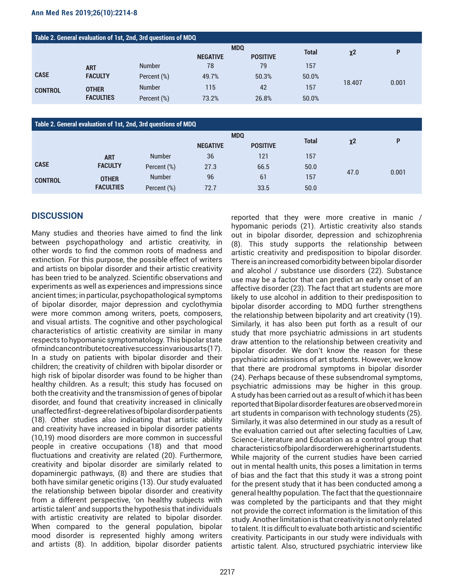### **Ann Med Res 2019;26(10):2214-8**

| Table 2. General evaluation of 1st, 2nd, 3rd questions of MDQ |                                  |               |                 |                 |              |        |       |  |
|---------------------------------------------------------------|----------------------------------|---------------|-----------------|-----------------|--------------|--------|-------|--|
|                                                               |                                  |               | <b>MDQ</b>      |                 | <b>Total</b> |        | P     |  |
|                                                               |                                  |               | <b>NEGATIVE</b> | <b>POSITIVE</b> |              | $x^2$  |       |  |
| <b>CASE</b>                                                   | <b>ART</b><br><b>FACULTY</b>     | <b>Number</b> | 78              | 79              | 157          | 18.407 |       |  |
|                                                               |                                  | Percent (%)   | 49.7%           | 50.3%           | 50.0%        |        |       |  |
| <b>CONTROL</b>                                                | <b>OTHER</b><br><b>FACULTIES</b> | <b>Number</b> | 115             | 42              | 157          |        | 0.001 |  |
|                                                               |                                  | Percent (%)   | 73.2%           | 26.8%           | 50.0%        |        |       |  |

| Table 2. General evaluation of 1st, 2nd, 3rd questions of MDQ |                  |               |                 |                 |              |          |       |  |
|---------------------------------------------------------------|------------------|---------------|-----------------|-----------------|--------------|----------|-------|--|
|                                                               |                  |               | <b>MDQ</b>      |                 | <b>Total</b> |          | P     |  |
|                                                               |                  |               | <b>NEGATIVE</b> | <b>POSITIVE</b> |              | $\chi$ 2 |       |  |
|                                                               | <b>ART</b>       | <b>Number</b> | 36              | 121             | 157          |          |       |  |
| <b>CASE</b>                                                   | <b>FACULTY</b>   | Percent (%)   | 27.3            | 66.5            | 50.0         |          |       |  |
| <b>CONTROL</b>                                                | <b>OTHER</b>     | <b>Number</b> | 96              | 61              | 157          | 47.0     | 0.001 |  |
|                                                               | <b>FACULTIES</b> | Percent (%)   | 72.7            | 33.5            | 50.0         |          |       |  |

# **DISCUSSION**

Many studies and theories have aimed to find the link between psychopathology and artistic creativity, in other words to find the common roots of madness and extinction. For this purpose, the possible effect of writers and artists on bipolar disorder and their artistic creativity has been tried to be analyzed. Scientific observations and experiments as well as experiences and impressions since ancient times; in particular, psychopathological symptoms of bipolar disorder, major depression and cyclothymia were more common among writers, poets, composers, and visual artists. The cognitive and other psychological characteristics of artistic creativity are similar in many respects to hypomanic symptomatology. This bipolar state of mind can contribute to creative success in various arts (17). In a study on patients with bipolar disorder and their children; the creativity of children with bipolar disorder or high risk of bipolar disorder was found to be higher than healthy children. As a result; this study has focused on both the creativity and the transmission of genes of bipolar disorder, and found that creativity increased in clinically unaffected first-degree relatives of bipolar disorder patients (18). Other studies also indicating that artistic ability and creativity have increased in bipolar disorder patients (10,19) mood disorders are more common in successful people in creative occupations (18) and that mood fluctuations and creativity are related (20). Furthermore, creativity and bipolar disorder are similarly related to dopaminergic pathways, (8) and there are studies that both have similar genetic origins (13). Our study evaluated the relationship between bipolar disorder and creativity from a different perspective, 'on healthy subjects with artistic talent' and supports the hypothesis that individuals with artistic creativity are related to bipolar disorder. When compared to the general population, bipolar mood disorder is represented highly among writers and artists (8). In addition, bipolar disorder patients

reported that they were more creative in manic / hypomanic periods (21). Artistic creativity also stands out in bipolar disorder, depression and schizophrenia (8). This study supports the relationship between artistic creativity and predisposition to bipolar disorder. There is an increased comorbidity between bipolar disorder and alcohol / substance use disorders (22). Substance use may be a factor that can predict an early onset of an affective disorder (23). The fact that art students are more likely to use alcohol in addition to their predisposition to bipolar disorder according to MDQ further strengthens the relationship between bipolarity and art creativity (19). Similarly, it has also been put forth as a result of our study that more psychiatric admissions in art students draw attention to the relationship between creativity and bipolar disorder. We don't know the reason for these psychiatric admissions of art students. However, we know that there are prodromal symptoms in bipolar disorder (24). Perhaps because of these subsendromal symptoms, psychiatric admissions may be higher in this group. A study has been carried out as a result of which it has been reported that Bipolar disorder features are observed more in art students in comparison with technology students (25). Similarly, it was also determined in our study as a result of the evaluation carried out after selecting faculties of Law, Science-Literature and Education as a control group that characteristics of bipolar disorder were higher in art students. While majority of the current studies have been carried out in mental health units, this poses a limitation in terms of bias and the fact that this study it was a strong point for the present study that it has been conducted among a general healthy population. The fact that the questionnaire was completed by the participants and that they might not provide the correct information is the limitation of this study. Another limitation is that creativity is not only related to talent. It is difficult to evaluate both artistic and scientific creativity. Participants in our study were individuals with artistic talent. Also, structured psychiatric interview like